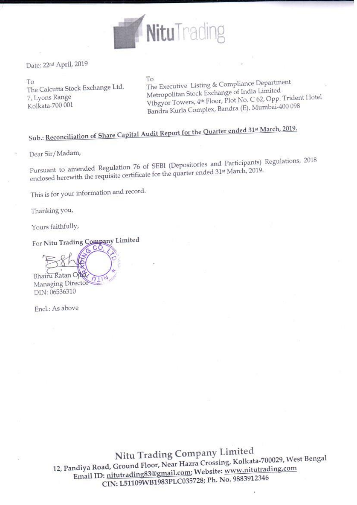

Date: 22nd April, 2019

To The Calcutta Stock Exchange Ltd. 7, Lyons Range Kolkata-700 001

To The Executive Listing & Compliance Department Metropolitan Stock Exchange of India Limited Vibgyor Towers, 4th Floor, Plot No. C 62, Opp. Trident Hotel Bandra Kurla Complex, Bandra (E), Mumbai-400 098

## Sub.: Reconciliation of Share Capital Audit Report for the Quarter ended 31st March, 2019.

Dear Sir/Madam,

Pursuant to amended Regulation 76 of SEBI (Depositories and Participants) Regulations, 2018 enclosed herewith the requisite certificate for the quarter ended 31st March, 2019.

This is for your information and record.

Thanking you,

Yours faithfully,

For Nitu Trading Company Limited

Bhairu Ratan Oil  $\eta_1$ Managing Director DIN: 06536310

Encl.: As above

Nitu Trading Company Limited 12, Pandiya Road, Ground Floor, Near Hazra Crossing, Kolkata-700029, West Bengal Email ID: nitutrading83@gmail.com; Website: www.nitutrading.com CIN: L51109WB1983PLC035728; Ph. No. 9883912346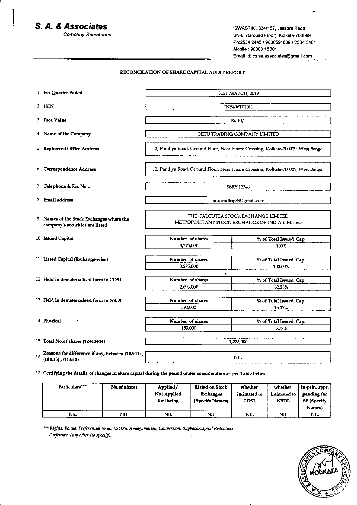## S. A. & Associates

**Company Secretaries** 

'SWASTIK', 334/157, Jessore Raod, SN-8, (Ground Floor), Kolkata-700089 Ph:2534 2445 / 9830591639 / 2534 3481 Mobile: 98300 16001 Email Id: cs.sa.associates@gmail.com

## RECONCILATION OF SHARE CAPITAL AUDIT REPORT

|    | 1 For Quarter Ended                                                                                            | 31ST MARCH, 2019                                                                     |                                 |  |  |
|----|----------------------------------------------------------------------------------------------------------------|--------------------------------------------------------------------------------------|---------------------------------|--|--|
|    | 2 ISIN                                                                                                         | INE406T01011                                                                         |                                 |  |  |
|    | 3 Face Value                                                                                                   | $Rs.10/-$                                                                            |                                 |  |  |
|    |                                                                                                                |                                                                                      |                                 |  |  |
|    | 4 Name of the Company                                                                                          | NITU TRADING COMPANY LIMITED                                                         |                                 |  |  |
|    | 5 Registered Office Address                                                                                    | 12, Pandiya Road, Ground Floor, Near Hazra Crossing, Kolkata-700029, West Bengal     |                                 |  |  |
|    | 6 Correspondence Address                                                                                       | 12, Pandiya Road, Ground Floor, Near Hazra Crossing, Kolkata-700029, West Bengal     |                                 |  |  |
|    | 7 Telephone & Fax Nos.                                                                                         | 9883912346                                                                           |                                 |  |  |
|    |                                                                                                                |                                                                                      |                                 |  |  |
|    | 8 Email address                                                                                                | nitutrading83@gmail.com                                                              |                                 |  |  |
|    | 9 Names of the Stock Exchanges where the<br>company's securities are listed                                    | THE CALCUTTA STOCK EXCHANGE LIMITED<br>METROPOLITANT STOCK EXCHANGE OF INDIA LIMITED |                                 |  |  |
|    | 10 Issued Capital                                                                                              | Number of shares                                                                     | % of Total Issued Cap.          |  |  |
|    |                                                                                                                | 3,275,000                                                                            | 100%                            |  |  |
|    |                                                                                                                |                                                                                      |                                 |  |  |
|    | 11 Listed Capital (Exchange-wise)                                                                              | Number of shares                                                                     | % of Total Issued Cap.          |  |  |
|    |                                                                                                                | 3,275,000                                                                            | 100.00%                         |  |  |
|    | 12 Held in dematerialised form in CDSL                                                                         | ۰<br>Number of shares                                                                | % of Total Issued Cap.          |  |  |
|    |                                                                                                                | 2,693,000                                                                            | 82.23%                          |  |  |
|    |                                                                                                                |                                                                                      |                                 |  |  |
|    | 13 Held in dematerialised form in NSDL                                                                         | Number of shares                                                                     | % of Total Issued Cap.          |  |  |
|    |                                                                                                                | 393,000                                                                              | 13.37%                          |  |  |
|    |                                                                                                                |                                                                                      |                                 |  |  |
|    | 14 Physical                                                                                                    | Number of shares<br>189,000                                                          | % of Total Issued Cap.<br>5.77% |  |  |
|    |                                                                                                                |                                                                                      |                                 |  |  |
|    | 15 Total No.of shares (12+13+14)                                                                               | 3,275,000                                                                            |                                 |  |  |
| 16 | Reasons for difference if any, between (10&11),<br>$(10.15)$ , $(11.15)$                                       | <b>NIL</b>                                                                           |                                 |  |  |
|    | 17 Certifying the details of changes in share capital during the period under consideration as per Table below |                                                                                      |                                 |  |  |

| Particulars <sup>***</sup> | No.of shares | Applied/<br>Not Applied<br>for listing | <b>Listed on Stock</b><br><b>Exchanges</b><br>(Specify Names) | whether<br>intimated to<br><b>CDSL</b> | whether<br>intimated to<br><b>NSDL</b> | In-prin. appr.<br>pending for<br>SE (Specify<br>Names) |
|----------------------------|--------------|----------------------------------------|---------------------------------------------------------------|----------------------------------------|----------------------------------------|--------------------------------------------------------|
| <b>NIL</b>                 | <b>NIL</b>   | NIL                                    | <b>NIL</b>                                                    | NIL                                    | <b>NIL</b>                             | NI.                                                    |

\*\*\* Rights, Bonus, Preferential Issue, ESOPs, Amalgamation, Conversion, Buyback, Capital Reduction Forfeiture, Any other (to specify).